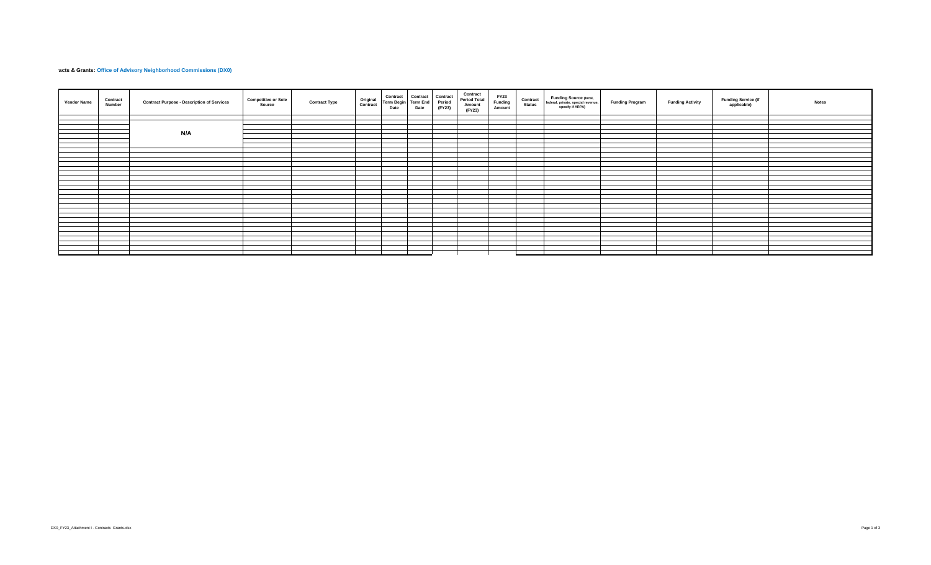## **Acts & Grants: Office of Advisory Neighborhood Commissions (DX0)**

| Contract<br><b>Vendor Name</b><br><b>Number</b> | <b>Contract Purpose - Description of Services</b> | <b>Competitive or Sole</b><br>Source | <b>Contract Type</b> | Original<br>Contract | Contract<br>Term Begin Term End<br>Date | Contract Contract<br>Term End Period<br>Date | (FY23) | Contract<br><b>Period Total</b><br>Amount<br>(FY23) | FY23<br>Funding<br>Amount | Contract<br><b>Status</b> | Funding Source (local,<br>federal, private, special revenue,<br>specify if ARPA) | <b>Funding Program</b> | <b>Funding Activity</b> | <b>Funding Service (if</b><br>applicable) | <b>Notes</b> |
|-------------------------------------------------|---------------------------------------------------|--------------------------------------|----------------------|----------------------|-----------------------------------------|----------------------------------------------|--------|-----------------------------------------------------|---------------------------|---------------------------|----------------------------------------------------------------------------------|------------------------|-------------------------|-------------------------------------------|--------------|
|                                                 |                                                   |                                      |                      |                      |                                         |                                              |        |                                                     |                           |                           |                                                                                  |                        |                         |                                           |              |
|                                                 |                                                   |                                      |                      |                      |                                         |                                              |        |                                                     |                           |                           |                                                                                  |                        |                         |                                           |              |
|                                                 |                                                   |                                      |                      |                      |                                         |                                              |        |                                                     |                           |                           |                                                                                  |                        |                         |                                           |              |
|                                                 | N/A                                               |                                      |                      |                      |                                         |                                              |        |                                                     |                           |                           |                                                                                  |                        |                         |                                           |              |
|                                                 |                                                   |                                      |                      |                      |                                         |                                              |        |                                                     |                           |                           |                                                                                  |                        |                         |                                           |              |
|                                                 |                                                   |                                      |                      |                      |                                         |                                              |        |                                                     |                           |                           |                                                                                  |                        |                         |                                           |              |
|                                                 |                                                   |                                      |                      |                      |                                         |                                              |        |                                                     |                           |                           |                                                                                  |                        |                         |                                           |              |
|                                                 |                                                   |                                      |                      |                      |                                         |                                              |        |                                                     |                           |                           |                                                                                  |                        |                         |                                           |              |
|                                                 |                                                   |                                      |                      |                      |                                         |                                              |        |                                                     |                           |                           |                                                                                  |                        |                         |                                           |              |
|                                                 |                                                   |                                      |                      |                      |                                         |                                              |        |                                                     |                           |                           |                                                                                  |                        |                         |                                           |              |
|                                                 |                                                   |                                      |                      |                      |                                         |                                              |        |                                                     |                           |                           |                                                                                  |                        |                         |                                           |              |
|                                                 |                                                   |                                      |                      |                      |                                         |                                              |        |                                                     |                           |                           |                                                                                  |                        |                         |                                           |              |
|                                                 |                                                   |                                      |                      |                      |                                         |                                              |        |                                                     |                           |                           |                                                                                  |                        |                         |                                           |              |
|                                                 |                                                   |                                      |                      |                      |                                         |                                              |        |                                                     |                           |                           |                                                                                  |                        |                         |                                           |              |
|                                                 |                                                   |                                      |                      |                      |                                         |                                              |        |                                                     |                           |                           |                                                                                  |                        |                         |                                           |              |
|                                                 |                                                   |                                      |                      |                      |                                         |                                              |        |                                                     |                           |                           |                                                                                  |                        |                         |                                           |              |
|                                                 |                                                   |                                      |                      |                      |                                         |                                              |        |                                                     |                           |                           |                                                                                  |                        |                         |                                           |              |
|                                                 |                                                   |                                      |                      |                      |                                         |                                              |        |                                                     |                           |                           |                                                                                  |                        |                         |                                           |              |
|                                                 |                                                   |                                      |                      |                      |                                         |                                              |        |                                                     |                           |                           |                                                                                  |                        |                         |                                           |              |
|                                                 |                                                   |                                      |                      |                      |                                         |                                              |        |                                                     |                           |                           |                                                                                  |                        |                         |                                           |              |
|                                                 |                                                   |                                      |                      |                      |                                         |                                              |        |                                                     |                           |                           |                                                                                  |                        |                         |                                           |              |
|                                                 |                                                   |                                      |                      |                      |                                         |                                              |        |                                                     |                           |                           |                                                                                  |                        |                         |                                           |              |
|                                                 |                                                   |                                      |                      |                      |                                         |                                              |        |                                                     |                           |                           |                                                                                  |                        |                         |                                           |              |
|                                                 |                                                   |                                      |                      |                      |                                         |                                              |        |                                                     |                           |                           |                                                                                  |                        |                         |                                           |              |
|                                                 |                                                   |                                      |                      |                      |                                         |                                              |        |                                                     |                           |                           |                                                                                  |                        |                         |                                           |              |
|                                                 |                                                   |                                      |                      |                      |                                         |                                              |        |                                                     |                           |                           |                                                                                  |                        |                         |                                           |              |
|                                                 |                                                   |                                      |                      |                      |                                         |                                              |        |                                                     |                           |                           |                                                                                  |                        |                         |                                           |              |
|                                                 |                                                   |                                      |                      |                      |                                         |                                              |        |                                                     |                           |                           |                                                                                  |                        |                         |                                           |              |
|                                                 |                                                   |                                      |                      |                      |                                         |                                              |        |                                                     |                           |                           |                                                                                  |                        |                         |                                           |              |
|                                                 |                                                   |                                      |                      |                      |                                         |                                              |        |                                                     |                           |                           |                                                                                  |                        |                         |                                           |              |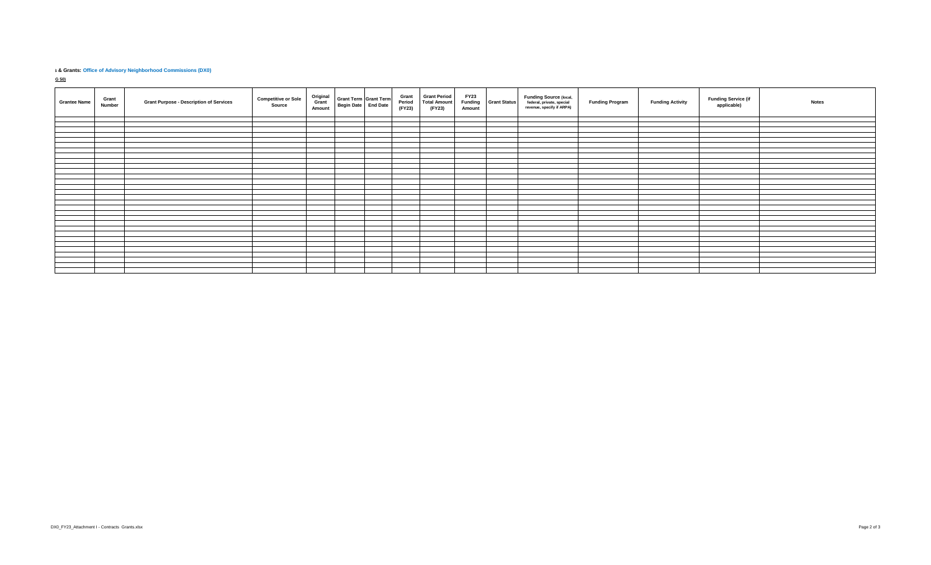## **8 & Grants: Office of Advisory Neighborhood Commissions (DX0)**

G 50)

| <b>Grantee Name</b> | Grant<br>Number | <b>Grant Purpose - Description of Services</b> | <b>Competitive or Sole</b><br>Source | Original<br>Grant<br>Amount | Grant Term Grant Term<br>Begin Date End Date | Grant<br>Period<br>(FY23) | <b>Grant Period</b><br><b>Total Amount</b><br>(FY23) | <b>FY23</b><br>Amount | <b>Funding</b> Grant Status | <b>Funding Source (local,</b><br>federal, private, special<br>revenue, specify if ARPA) | <b>Funding Program</b> | <b>Funding Activity</b> | <b>Funding Service (if</b><br>applicable) | <b>Notes</b> |
|---------------------|-----------------|------------------------------------------------|--------------------------------------|-----------------------------|----------------------------------------------|---------------------------|------------------------------------------------------|-----------------------|-----------------------------|-----------------------------------------------------------------------------------------|------------------------|-------------------------|-------------------------------------------|--------------|
|                     |                 |                                                |                                      |                             |                                              |                           |                                                      |                       |                             |                                                                                         |                        |                         |                                           |              |
|                     |                 |                                                |                                      |                             |                                              |                           |                                                      |                       |                             |                                                                                         |                        |                         |                                           |              |
|                     |                 |                                                |                                      |                             |                                              |                           |                                                      |                       |                             |                                                                                         |                        |                         |                                           |              |
|                     |                 |                                                |                                      |                             |                                              |                           |                                                      |                       |                             |                                                                                         |                        |                         |                                           |              |
|                     |                 |                                                |                                      |                             |                                              |                           |                                                      |                       |                             |                                                                                         |                        |                         |                                           |              |
|                     |                 |                                                |                                      |                             |                                              |                           |                                                      |                       |                             |                                                                                         |                        |                         |                                           |              |
|                     |                 |                                                |                                      |                             |                                              |                           |                                                      |                       |                             |                                                                                         |                        |                         |                                           |              |
|                     |                 |                                                |                                      |                             |                                              |                           |                                                      |                       |                             |                                                                                         |                        |                         |                                           |              |
|                     |                 |                                                |                                      |                             |                                              |                           |                                                      |                       |                             |                                                                                         |                        |                         |                                           |              |
|                     |                 |                                                |                                      |                             |                                              |                           |                                                      |                       |                             |                                                                                         |                        |                         |                                           |              |
|                     |                 |                                                |                                      |                             |                                              |                           |                                                      |                       |                             |                                                                                         |                        |                         |                                           |              |
|                     |                 |                                                |                                      |                             |                                              |                           |                                                      |                       |                             |                                                                                         |                        |                         |                                           |              |
|                     |                 |                                                |                                      |                             |                                              |                           |                                                      |                       |                             |                                                                                         |                        |                         |                                           |              |
|                     |                 |                                                |                                      |                             |                                              |                           |                                                      |                       |                             |                                                                                         |                        |                         |                                           |              |
|                     |                 |                                                |                                      |                             |                                              |                           |                                                      |                       |                             |                                                                                         |                        |                         |                                           |              |
|                     |                 |                                                |                                      |                             |                                              |                           |                                                      |                       |                             |                                                                                         |                        |                         |                                           |              |
|                     |                 |                                                |                                      |                             |                                              |                           |                                                      |                       |                             |                                                                                         |                        |                         |                                           |              |
|                     |                 |                                                |                                      |                             |                                              |                           |                                                      |                       |                             |                                                                                         |                        |                         |                                           |              |
|                     |                 |                                                |                                      |                             |                                              |                           |                                                      |                       |                             |                                                                                         |                        |                         |                                           |              |
|                     |                 |                                                |                                      |                             |                                              |                           |                                                      |                       |                             |                                                                                         |                        |                         |                                           |              |
|                     |                 |                                                |                                      |                             |                                              |                           |                                                      |                       |                             |                                                                                         |                        |                         |                                           |              |
|                     |                 |                                                |                                      |                             |                                              |                           |                                                      |                       |                             |                                                                                         |                        |                         |                                           |              |
|                     |                 |                                                |                                      |                             |                                              |                           |                                                      |                       |                             |                                                                                         |                        |                         |                                           |              |
|                     |                 |                                                |                                      |                             |                                              |                           |                                                      |                       |                             |                                                                                         |                        |                         |                                           |              |
|                     |                 |                                                |                                      |                             |                                              |                           |                                                      |                       |                             |                                                                                         |                        |                         |                                           |              |
|                     |                 |                                                |                                      |                             |                                              |                           |                                                      |                       |                             |                                                                                         |                        |                         |                                           |              |
|                     |                 |                                                |                                      |                             |                                              |                           |                                                      |                       |                             |                                                                                         |                        |                         |                                           |              |
|                     |                 |                                                |                                      |                             |                                              |                           |                                                      |                       |                             |                                                                                         |                        |                         |                                           |              |